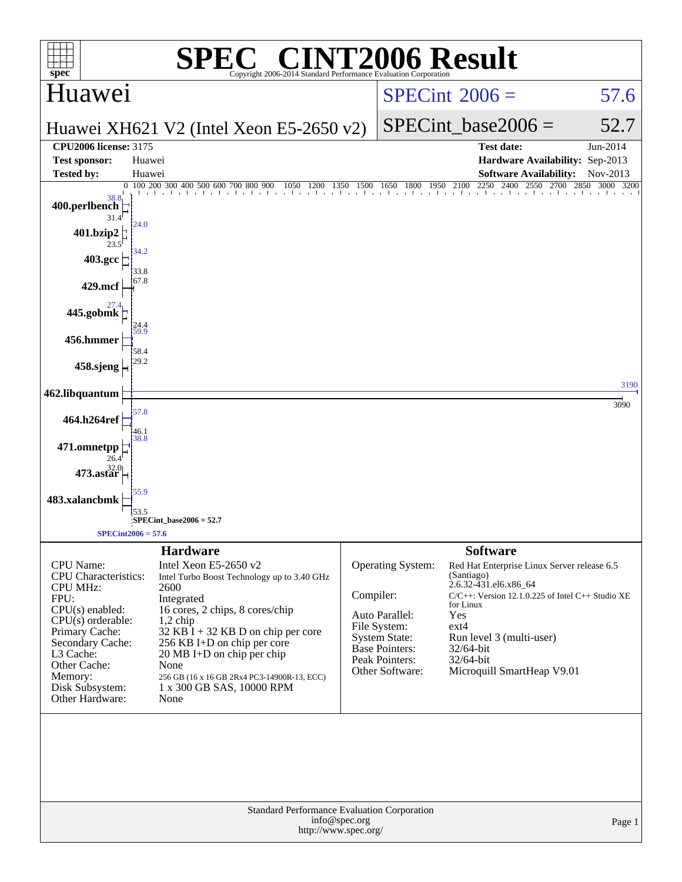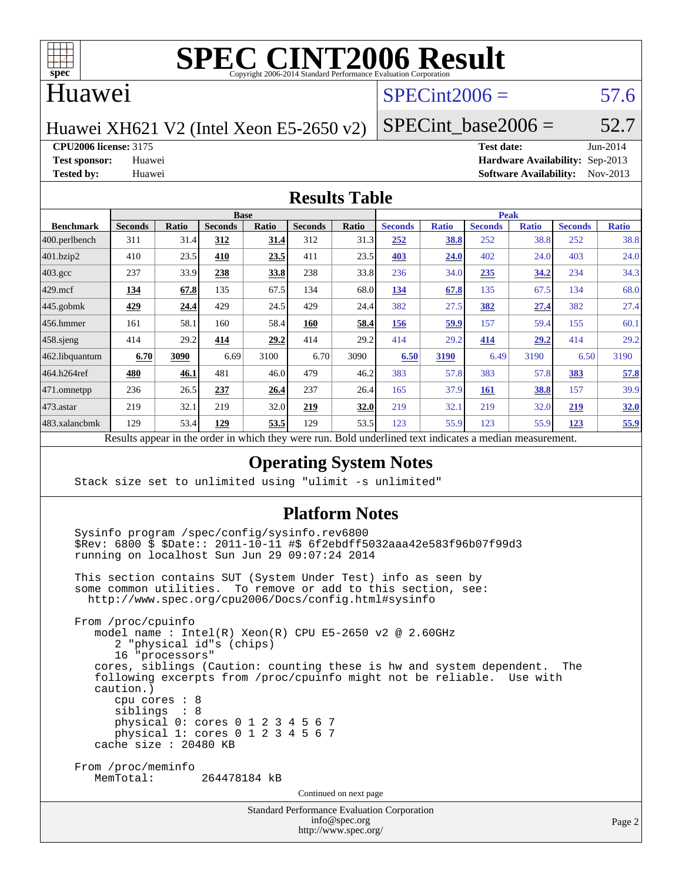

## Huawei

# $SPECint2006 = 57.6$  $SPECint2006 = 57.6$

Huawei XH621 V2 (Intel Xeon E5-2650 v2)

SPECint base2006 =  $52.7$ 

**[CPU2006 license:](http://www.spec.org/auto/cpu2006/Docs/result-fields.html#CPU2006license)** 3175 **[Test date:](http://www.spec.org/auto/cpu2006/Docs/result-fields.html#Testdate)** Jun-2014

**[Test sponsor:](http://www.spec.org/auto/cpu2006/Docs/result-fields.html#Testsponsor)** Huawei **[Hardware Availability:](http://www.spec.org/auto/cpu2006/Docs/result-fields.html#HardwareAvailability)** Sep-2013 **[Tested by:](http://www.spec.org/auto/cpu2006/Docs/result-fields.html#Testedby)** Huawei **[Software Availability:](http://www.spec.org/auto/cpu2006/Docs/result-fields.html#SoftwareAvailability)** Nov-2013

#### **[Results Table](http://www.spec.org/auto/cpu2006/Docs/result-fields.html#ResultsTable)**

|                                                                                                      | <b>Base</b>    |              |                |              |                |       | <b>Peak</b>    |              |                |              |                |              |
|------------------------------------------------------------------------------------------------------|----------------|--------------|----------------|--------------|----------------|-------|----------------|--------------|----------------|--------------|----------------|--------------|
| <b>Benchmark</b>                                                                                     | <b>Seconds</b> | <b>Ratio</b> | <b>Seconds</b> | <b>Ratio</b> | <b>Seconds</b> | Ratio | <b>Seconds</b> | <b>Ratio</b> | <b>Seconds</b> | <b>Ratio</b> | <b>Seconds</b> | <b>Ratio</b> |
| 400.perlbench                                                                                        | 311            | 31.4         | 312            | 31.4         | 312            | 31.3  | 252            | 38.8         | 252            | 38.8         | 252            | 38.8         |
| 401.bzip2                                                                                            | 410            | 23.5         | 410            | 23.5         | 411            | 23.5  | 403            | 24.0         | 402            | 24.0         | 403            | 24.0         |
| $403.\mathrm{gcc}$                                                                                   | 237            | 33.9         | 238            | 33.8         | 238            | 33.8  | 236            | 34.0         | 235            | 34.2         | 234            | 34.3         |
| $429$ .mcf                                                                                           | 134            | 67.8         | 135            | 67.5         | 134            | 68.0  | 134            | 67.8         | 135            | 67.5         | 134            | 68.0         |
| $445$ .gobmk                                                                                         | 429            | 24.4         | 429            | 24.5         | 429            | 24.4  | 382            | 27.5         | 382            | 27.4         | 382            | 27.4         |
| 456.hmmer                                                                                            | 161            | 58.1         | 160            | 58.4         | 160            | 58.4  | 156            | 59.9         | 157            | 59.4         | 155            | 60.1         |
| $458$ .sjeng                                                                                         | 414            | 29.2         | 414            | 29.2         | 414            | 29.2  | 414            | 29.2         | 414            | 29.2         | 414            | 29.2         |
| 462.libquantum                                                                                       | 6.70           | 3090         | 6.69           | 3100         | 6.70           | 3090  | 6.50           | 3190         | 6.49           | 3190         | 6.50           | 3190         |
| 464.h264ref                                                                                          | 480            | 46.1         | 481            | 46.0         | 479            | 46.2  | 383            | 57.8         | 383            | 57.8         | 383            | 57.8         |
| 471.omnetpp                                                                                          | 236            | 26.5         | 237            | 26.4         | 237            | 26.4  | 165            | 37.9         | 161            | 38.8         | 157            | 39.9         |
| $473$ . astar                                                                                        | 219            | 32.1         | 219            | 32.0         | 219            | 32.0  | 219            | 32.1         | 219            | 32.0         | 219            | 32.0         |
| 483.xalancbmk                                                                                        | 129            | 53.4         | 129            | 53.5         | 129            | 53.5  | 123            | 55.9         | 123            | 55.9         | 123            | 55.9         |
| Decute enneau in the order in which thay were my Dold underlined text indicates a modian measurement |                |              |                |              |                |       |                |              |                |              |                |              |

Results appear in the [order in which they were run.](http://www.spec.org/auto/cpu2006/Docs/result-fields.html#RunOrder) Bold underlined text [indicates a median measurement.](http://www.spec.org/auto/cpu2006/Docs/result-fields.html#Median)

### **[Operating System Notes](http://www.spec.org/auto/cpu2006/Docs/result-fields.html#OperatingSystemNotes)**

Stack size set to unlimited using "ulimit -s unlimited"

#### **[Platform Notes](http://www.spec.org/auto/cpu2006/Docs/result-fields.html#PlatformNotes)**

 Sysinfo program /spec/config/sysinfo.rev6800 \$Rev: 6800 \$ \$Date:: 2011-10-11 #\$ 6f2ebdff5032aaa42e583f96b07f99d3 running on localhost Sun Jun 29 09:07:24 2014 This section contains SUT (System Under Test) info as seen by some common utilities. To remove or add to this section, see: <http://www.spec.org/cpu2006/Docs/config.html#sysinfo> From /proc/cpuinfo model name : Intel(R) Xeon(R) CPU E5-2650 v2 @ 2.60GHz 2 "physical id"s (chips) 16 "processors" cores, siblings (Caution: counting these is hw and system dependent. The following excerpts from /proc/cpuinfo might not be reliable. Use with caution.) cpu cores : 8 siblings : 8

 physical 0: cores 0 1 2 3 4 5 6 7 physical 1: cores  $0$  1 2 3 4 5 6 7 cache size : 20480 KB

 From /proc/meminfo MemTotal: 264478184 kB

Continued on next page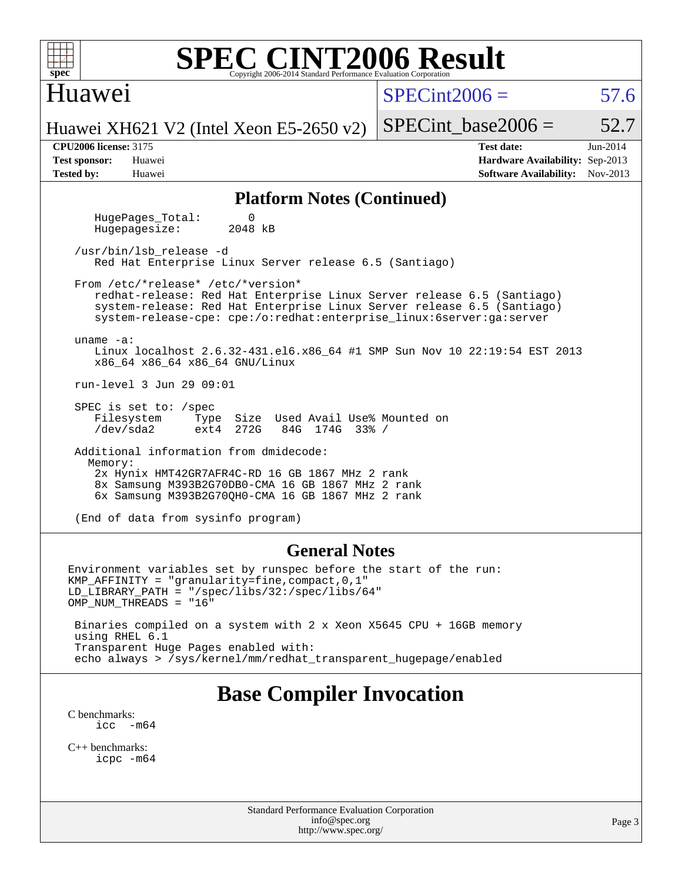| <b>SPEC CINT2006 Result</b><br>$spec^{\circ}$<br>Copyright 2006-2014 Standard Performance Evaluation Corporation                                                                                                                                                              |                                                                                                                      |  |  |  |  |  |  |  |  |  |
|-------------------------------------------------------------------------------------------------------------------------------------------------------------------------------------------------------------------------------------------------------------------------------|----------------------------------------------------------------------------------------------------------------------|--|--|--|--|--|--|--|--|--|
| Huawei                                                                                                                                                                                                                                                                        | $SPECint2006 =$<br>57.6                                                                                              |  |  |  |  |  |  |  |  |  |
| Huawei XH621 V2 (Intel Xeon E5-2650 v2)                                                                                                                                                                                                                                       | SPECint base2006 $=$<br>52.7                                                                                         |  |  |  |  |  |  |  |  |  |
| <b>CPU2006 license: 3175</b><br><b>Test sponsor:</b><br>Huawei<br><b>Tested by:</b><br>Huawei                                                                                                                                                                                 | <b>Test date:</b><br>Jun-2014<br><b>Hardware Availability: Sep-2013</b><br><b>Software Availability:</b><br>Nov-2013 |  |  |  |  |  |  |  |  |  |
| <b>Platform Notes (Continued)</b>                                                                                                                                                                                                                                             |                                                                                                                      |  |  |  |  |  |  |  |  |  |
| HugePages_Total:<br>0<br>Hugepagesize:<br>2048 kB                                                                                                                                                                                                                             |                                                                                                                      |  |  |  |  |  |  |  |  |  |
| /usr/bin/lsb release -d<br>Red Hat Enterprise Linux Server release 6.5 (Santiago)                                                                                                                                                                                             |                                                                                                                      |  |  |  |  |  |  |  |  |  |
| From /etc/*release* /etc/*version*<br>redhat-release: Red Hat Enterprise Linux Server release 6.5 (Santiago)<br>system-release: Red Hat Enterprise Linux Server release 6.5 (Santiago)<br>system-release-cpe: cpe:/o:redhat:enterprise_linux:6server:ga:server                |                                                                                                                      |  |  |  |  |  |  |  |  |  |
| uname $-a$ :<br>Linux localhost 2.6.32-431.el6.x86_64 #1 SMP Sun Nov 10 22:19:54 EST 2013<br>x86_64 x86_64 x86_64 GNU/Linux                                                                                                                                                   |                                                                                                                      |  |  |  |  |  |  |  |  |  |
| run-level 3 Jun 29 09:01                                                                                                                                                                                                                                                      |                                                                                                                      |  |  |  |  |  |  |  |  |  |
| SPEC is set to: /spec<br>Filesystem<br>Size Used Avail Use% Mounted on<br>Type<br>$/\text{dev/sda2}$<br>272G<br>84G 174G 33% /<br>ext4                                                                                                                                        |                                                                                                                      |  |  |  |  |  |  |  |  |  |
| Additional information from dmidecode:                                                                                                                                                                                                                                        |                                                                                                                      |  |  |  |  |  |  |  |  |  |
| Memory:<br>2x Hynix HMT42GR7AFR4C-RD 16 GB 1867 MHz 2 rank<br>8x Samsung M393B2G70DB0-CMA 16 GB 1867 MHz 2 rank<br>6x Samsung M393B2G70QH0-CMA 16 GB 1867 MHz 2 rank                                                                                                          |                                                                                                                      |  |  |  |  |  |  |  |  |  |
| (End of data from sysinfo program)                                                                                                                                                                                                                                            |                                                                                                                      |  |  |  |  |  |  |  |  |  |
| <b>General Notes</b>                                                                                                                                                                                                                                                          |                                                                                                                      |  |  |  |  |  |  |  |  |  |
| Environment variables set by runspec before the start of the run:<br>$KMP_A$ FFINITY = "granularity=fine, compact, 0, 1"<br>$LD_LIBRARY_PATH = "/spec/libs/32://spec/libs/64"$<br>OMP NUM THREADS = "16"<br>Binaries sempiled on a sustantith 2 y Veen YEAL CDU + 16CB memory |                                                                                                                      |  |  |  |  |  |  |  |  |  |

 Binaries compiled on a system with 2 x Xeon X5645 CPU + 16GB memory using RHEL 6.1 Transparent Huge Pages enabled with: echo always > /sys/kernel/mm/redhat\_transparent\_hugepage/enabled

# **[Base Compiler Invocation](http://www.spec.org/auto/cpu2006/Docs/result-fields.html#BaseCompilerInvocation)**

[C benchmarks](http://www.spec.org/auto/cpu2006/Docs/result-fields.html#Cbenchmarks): [icc -m64](http://www.spec.org/cpu2006/results/res2014q3/cpu2006-20140630-30124.flags.html#user_CCbase_intel_icc_64bit_f346026e86af2a669e726fe758c88044)

[C++ benchmarks:](http://www.spec.org/auto/cpu2006/Docs/result-fields.html#CXXbenchmarks) [icpc -m64](http://www.spec.org/cpu2006/results/res2014q3/cpu2006-20140630-30124.flags.html#user_CXXbase_intel_icpc_64bit_fc66a5337ce925472a5c54ad6a0de310)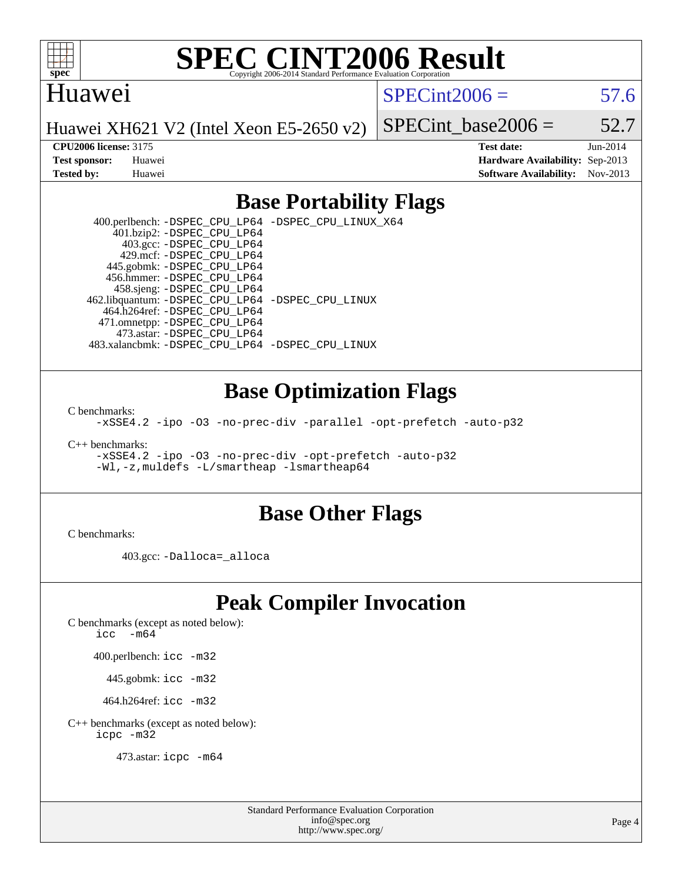

## Huawei

 $SPECint2006 = 57.6$  $SPECint2006 = 57.6$ 

Huawei XH621 V2 (Intel Xeon E5-2650 v2)

SPECint base2006 =  $52.7$ 

**[CPU2006 license:](http://www.spec.org/auto/cpu2006/Docs/result-fields.html#CPU2006license)** 3175 **[Test date:](http://www.spec.org/auto/cpu2006/Docs/result-fields.html#Testdate)** Jun-2014 **[Test sponsor:](http://www.spec.org/auto/cpu2006/Docs/result-fields.html#Testsponsor)** Huawei **[Hardware Availability:](http://www.spec.org/auto/cpu2006/Docs/result-fields.html#HardwareAvailability)** Sep-2013 **[Tested by:](http://www.spec.org/auto/cpu2006/Docs/result-fields.html#Testedby)** Huawei **[Software Availability:](http://www.spec.org/auto/cpu2006/Docs/result-fields.html#SoftwareAvailability)** Nov-2013

# **[Base Portability Flags](http://www.spec.org/auto/cpu2006/Docs/result-fields.html#BasePortabilityFlags)**

 400.perlbench: [-DSPEC\\_CPU\\_LP64](http://www.spec.org/cpu2006/results/res2014q3/cpu2006-20140630-30124.flags.html#b400.perlbench_basePORTABILITY_DSPEC_CPU_LP64) [-DSPEC\\_CPU\\_LINUX\\_X64](http://www.spec.org/cpu2006/results/res2014q3/cpu2006-20140630-30124.flags.html#b400.perlbench_baseCPORTABILITY_DSPEC_CPU_LINUX_X64) 401.bzip2: [-DSPEC\\_CPU\\_LP64](http://www.spec.org/cpu2006/results/res2014q3/cpu2006-20140630-30124.flags.html#suite_basePORTABILITY401_bzip2_DSPEC_CPU_LP64) 403.gcc: [-DSPEC\\_CPU\\_LP64](http://www.spec.org/cpu2006/results/res2014q3/cpu2006-20140630-30124.flags.html#suite_basePORTABILITY403_gcc_DSPEC_CPU_LP64) 429.mcf: [-DSPEC\\_CPU\\_LP64](http://www.spec.org/cpu2006/results/res2014q3/cpu2006-20140630-30124.flags.html#suite_basePORTABILITY429_mcf_DSPEC_CPU_LP64) 445.gobmk: [-DSPEC\\_CPU\\_LP64](http://www.spec.org/cpu2006/results/res2014q3/cpu2006-20140630-30124.flags.html#suite_basePORTABILITY445_gobmk_DSPEC_CPU_LP64) 456.hmmer: [-DSPEC\\_CPU\\_LP64](http://www.spec.org/cpu2006/results/res2014q3/cpu2006-20140630-30124.flags.html#suite_basePORTABILITY456_hmmer_DSPEC_CPU_LP64) 458.sjeng: [-DSPEC\\_CPU\\_LP64](http://www.spec.org/cpu2006/results/res2014q3/cpu2006-20140630-30124.flags.html#suite_basePORTABILITY458_sjeng_DSPEC_CPU_LP64) 462.libquantum: [-DSPEC\\_CPU\\_LP64](http://www.spec.org/cpu2006/results/res2014q3/cpu2006-20140630-30124.flags.html#suite_basePORTABILITY462_libquantum_DSPEC_CPU_LP64) [-DSPEC\\_CPU\\_LINUX](http://www.spec.org/cpu2006/results/res2014q3/cpu2006-20140630-30124.flags.html#b462.libquantum_baseCPORTABILITY_DSPEC_CPU_LINUX) 464.h264ref: [-DSPEC\\_CPU\\_LP64](http://www.spec.org/cpu2006/results/res2014q3/cpu2006-20140630-30124.flags.html#suite_basePORTABILITY464_h264ref_DSPEC_CPU_LP64) 471.omnetpp: [-DSPEC\\_CPU\\_LP64](http://www.spec.org/cpu2006/results/res2014q3/cpu2006-20140630-30124.flags.html#suite_basePORTABILITY471_omnetpp_DSPEC_CPU_LP64) 473.astar: [-DSPEC\\_CPU\\_LP64](http://www.spec.org/cpu2006/results/res2014q3/cpu2006-20140630-30124.flags.html#suite_basePORTABILITY473_astar_DSPEC_CPU_LP64) 483.xalancbmk: [-DSPEC\\_CPU\\_LP64](http://www.spec.org/cpu2006/results/res2014q3/cpu2006-20140630-30124.flags.html#suite_basePORTABILITY483_xalancbmk_DSPEC_CPU_LP64) [-DSPEC\\_CPU\\_LINUX](http://www.spec.org/cpu2006/results/res2014q3/cpu2006-20140630-30124.flags.html#b483.xalancbmk_baseCXXPORTABILITY_DSPEC_CPU_LINUX)

## **[Base Optimization Flags](http://www.spec.org/auto/cpu2006/Docs/result-fields.html#BaseOptimizationFlags)**

[C benchmarks](http://www.spec.org/auto/cpu2006/Docs/result-fields.html#Cbenchmarks):

[-xSSE4.2](http://www.spec.org/cpu2006/results/res2014q3/cpu2006-20140630-30124.flags.html#user_CCbase_f-xSSE42_f91528193cf0b216347adb8b939d4107) [-ipo](http://www.spec.org/cpu2006/results/res2014q3/cpu2006-20140630-30124.flags.html#user_CCbase_f-ipo) [-O3](http://www.spec.org/cpu2006/results/res2014q3/cpu2006-20140630-30124.flags.html#user_CCbase_f-O3) [-no-prec-div](http://www.spec.org/cpu2006/results/res2014q3/cpu2006-20140630-30124.flags.html#user_CCbase_f-no-prec-div) [-parallel](http://www.spec.org/cpu2006/results/res2014q3/cpu2006-20140630-30124.flags.html#user_CCbase_f-parallel) [-opt-prefetch](http://www.spec.org/cpu2006/results/res2014q3/cpu2006-20140630-30124.flags.html#user_CCbase_f-opt-prefetch) [-auto-p32](http://www.spec.org/cpu2006/results/res2014q3/cpu2006-20140630-30124.flags.html#user_CCbase_f-auto-p32)

[C++ benchmarks:](http://www.spec.org/auto/cpu2006/Docs/result-fields.html#CXXbenchmarks)

[-xSSE4.2](http://www.spec.org/cpu2006/results/res2014q3/cpu2006-20140630-30124.flags.html#user_CXXbase_f-xSSE42_f91528193cf0b216347adb8b939d4107) [-ipo](http://www.spec.org/cpu2006/results/res2014q3/cpu2006-20140630-30124.flags.html#user_CXXbase_f-ipo) [-O3](http://www.spec.org/cpu2006/results/res2014q3/cpu2006-20140630-30124.flags.html#user_CXXbase_f-O3) [-no-prec-div](http://www.spec.org/cpu2006/results/res2014q3/cpu2006-20140630-30124.flags.html#user_CXXbase_f-no-prec-div) [-opt-prefetch](http://www.spec.org/cpu2006/results/res2014q3/cpu2006-20140630-30124.flags.html#user_CXXbase_f-opt-prefetch) [-auto-p32](http://www.spec.org/cpu2006/results/res2014q3/cpu2006-20140630-30124.flags.html#user_CXXbase_f-auto-p32) [-Wl,-z,muldefs](http://www.spec.org/cpu2006/results/res2014q3/cpu2006-20140630-30124.flags.html#user_CXXbase_link_force_multiple1_74079c344b956b9658436fd1b6dd3a8a) [-L/smartheap -lsmartheap64](http://www.spec.org/cpu2006/results/res2014q3/cpu2006-20140630-30124.flags.html#user_CXXbase_SmartHeap64_5e654037dadeae1fe403ab4b4466e60b)

### **[Base Other Flags](http://www.spec.org/auto/cpu2006/Docs/result-fields.html#BaseOtherFlags)**

[C benchmarks](http://www.spec.org/auto/cpu2006/Docs/result-fields.html#Cbenchmarks):

403.gcc: [-Dalloca=\\_alloca](http://www.spec.org/cpu2006/results/res2014q3/cpu2006-20140630-30124.flags.html#b403.gcc_baseEXTRA_CFLAGS_Dalloca_be3056838c12de2578596ca5467af7f3)

# **[Peak Compiler Invocation](http://www.spec.org/auto/cpu2006/Docs/result-fields.html#PeakCompilerInvocation)**

[C benchmarks \(except as noted below\)](http://www.spec.org/auto/cpu2006/Docs/result-fields.html#Cbenchmarksexceptasnotedbelow):

icc  $-m64$ 

400.perlbench: [icc -m32](http://www.spec.org/cpu2006/results/res2014q3/cpu2006-20140630-30124.flags.html#user_peakCCLD400_perlbench_intel_icc_a6a621f8d50482236b970c6ac5f55f93)

445.gobmk: [icc -m32](http://www.spec.org/cpu2006/results/res2014q3/cpu2006-20140630-30124.flags.html#user_peakCCLD445_gobmk_intel_icc_a6a621f8d50482236b970c6ac5f55f93)

464.h264ref: [icc -m32](http://www.spec.org/cpu2006/results/res2014q3/cpu2006-20140630-30124.flags.html#user_peakCCLD464_h264ref_intel_icc_a6a621f8d50482236b970c6ac5f55f93)

[C++ benchmarks \(except as noted below\):](http://www.spec.org/auto/cpu2006/Docs/result-fields.html#CXXbenchmarksexceptasnotedbelow) [icpc -m32](http://www.spec.org/cpu2006/results/res2014q3/cpu2006-20140630-30124.flags.html#user_CXXpeak_intel_icpc_4e5a5ef1a53fd332b3c49e69c3330699)

473.astar: [icpc -m64](http://www.spec.org/cpu2006/results/res2014q3/cpu2006-20140630-30124.flags.html#user_peakCXXLD473_astar_intel_icpc_64bit_fc66a5337ce925472a5c54ad6a0de310)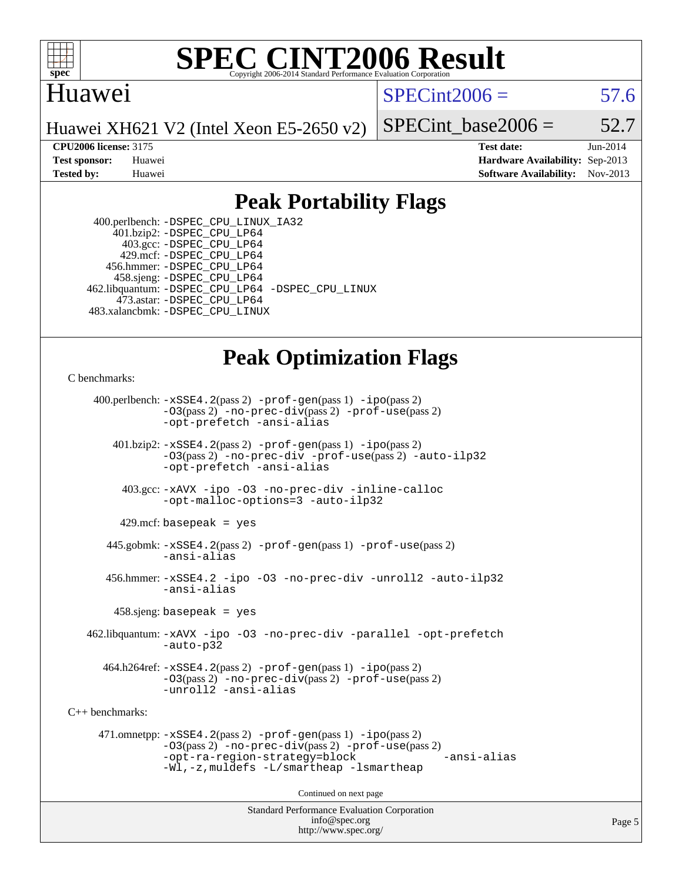

# Huawei

 $SPECint2006 = 57.6$  $SPECint2006 = 57.6$ 

Huawei XH621 V2 (Intel Xeon E5-2650 v2)

SPECint base2006 =  $52.7$ 

**[CPU2006 license:](http://www.spec.org/auto/cpu2006/Docs/result-fields.html#CPU2006license)** 3175 **[Test date:](http://www.spec.org/auto/cpu2006/Docs/result-fields.html#Testdate)** Jun-2014 **[Test sponsor:](http://www.spec.org/auto/cpu2006/Docs/result-fields.html#Testsponsor)** Huawei **[Hardware Availability:](http://www.spec.org/auto/cpu2006/Docs/result-fields.html#HardwareAvailability)** Sep-2013 **[Tested by:](http://www.spec.org/auto/cpu2006/Docs/result-fields.html#Testedby)** Huawei **[Software Availability:](http://www.spec.org/auto/cpu2006/Docs/result-fields.html#SoftwareAvailability)** Nov-2013

# **[Peak Portability Flags](http://www.spec.org/auto/cpu2006/Docs/result-fields.html#PeakPortabilityFlags)**

 400.perlbench: [-DSPEC\\_CPU\\_LINUX\\_IA32](http://www.spec.org/cpu2006/results/res2014q3/cpu2006-20140630-30124.flags.html#b400.perlbench_peakCPORTABILITY_DSPEC_CPU_LINUX_IA32) 401.bzip2: [-DSPEC\\_CPU\\_LP64](http://www.spec.org/cpu2006/results/res2014q3/cpu2006-20140630-30124.flags.html#suite_peakPORTABILITY401_bzip2_DSPEC_CPU_LP64) 403.gcc: [-DSPEC\\_CPU\\_LP64](http://www.spec.org/cpu2006/results/res2014q3/cpu2006-20140630-30124.flags.html#suite_peakPORTABILITY403_gcc_DSPEC_CPU_LP64) 429.mcf: [-DSPEC\\_CPU\\_LP64](http://www.spec.org/cpu2006/results/res2014q3/cpu2006-20140630-30124.flags.html#suite_peakPORTABILITY429_mcf_DSPEC_CPU_LP64) 456.hmmer: [-DSPEC\\_CPU\\_LP64](http://www.spec.org/cpu2006/results/res2014q3/cpu2006-20140630-30124.flags.html#suite_peakPORTABILITY456_hmmer_DSPEC_CPU_LP64) 458.sjeng: [-DSPEC\\_CPU\\_LP64](http://www.spec.org/cpu2006/results/res2014q3/cpu2006-20140630-30124.flags.html#suite_peakPORTABILITY458_sjeng_DSPEC_CPU_LP64) 462.libquantum: [-DSPEC\\_CPU\\_LP64](http://www.spec.org/cpu2006/results/res2014q3/cpu2006-20140630-30124.flags.html#suite_peakPORTABILITY462_libquantum_DSPEC_CPU_LP64) [-DSPEC\\_CPU\\_LINUX](http://www.spec.org/cpu2006/results/res2014q3/cpu2006-20140630-30124.flags.html#b462.libquantum_peakCPORTABILITY_DSPEC_CPU_LINUX) 473.astar: [-DSPEC\\_CPU\\_LP64](http://www.spec.org/cpu2006/results/res2014q3/cpu2006-20140630-30124.flags.html#suite_peakPORTABILITY473_astar_DSPEC_CPU_LP64) 483.xalancbmk: [-DSPEC\\_CPU\\_LINUX](http://www.spec.org/cpu2006/results/res2014q3/cpu2006-20140630-30124.flags.html#b483.xalancbmk_peakCXXPORTABILITY_DSPEC_CPU_LINUX)

# **[Peak Optimization Flags](http://www.spec.org/auto/cpu2006/Docs/result-fields.html#PeakOptimizationFlags)**

[C benchmarks](http://www.spec.org/auto/cpu2006/Docs/result-fields.html#Cbenchmarks):

 400.perlbench: [-xSSE4.2](http://www.spec.org/cpu2006/results/res2014q3/cpu2006-20140630-30124.flags.html#user_peakPASS2_CFLAGSPASS2_LDCFLAGS400_perlbench_f-xSSE42_f91528193cf0b216347adb8b939d4107)(pass 2) [-prof-gen](http://www.spec.org/cpu2006/results/res2014q3/cpu2006-20140630-30124.flags.html#user_peakPASS1_CFLAGSPASS1_LDCFLAGS400_perlbench_prof_gen_e43856698f6ca7b7e442dfd80e94a8fc)(pass 1) [-ipo](http://www.spec.org/cpu2006/results/res2014q3/cpu2006-20140630-30124.flags.html#user_peakPASS2_CFLAGSPASS2_LDCFLAGS400_perlbench_f-ipo)(pass 2) [-O3](http://www.spec.org/cpu2006/results/res2014q3/cpu2006-20140630-30124.flags.html#user_peakPASS2_CFLAGSPASS2_LDCFLAGS400_perlbench_f-O3)(pass 2) [-no-prec-div](http://www.spec.org/cpu2006/results/res2014q3/cpu2006-20140630-30124.flags.html#user_peakPASS2_CFLAGSPASS2_LDCFLAGS400_perlbench_f-no-prec-div)(pass 2) [-prof-use](http://www.spec.org/cpu2006/results/res2014q3/cpu2006-20140630-30124.flags.html#user_peakPASS2_CFLAGSPASS2_LDCFLAGS400_perlbench_prof_use_bccf7792157ff70d64e32fe3e1250b55)(pass 2) [-opt-prefetch](http://www.spec.org/cpu2006/results/res2014q3/cpu2006-20140630-30124.flags.html#user_peakCOPTIMIZE400_perlbench_f-opt-prefetch) [-ansi-alias](http://www.spec.org/cpu2006/results/res2014q3/cpu2006-20140630-30124.flags.html#user_peakCOPTIMIZE400_perlbench_f-ansi-alias) 401.bzip2: [-xSSE4.2](http://www.spec.org/cpu2006/results/res2014q3/cpu2006-20140630-30124.flags.html#user_peakPASS2_CFLAGSPASS2_LDCFLAGS401_bzip2_f-xSSE42_f91528193cf0b216347adb8b939d4107)(pass 2) [-prof-gen](http://www.spec.org/cpu2006/results/res2014q3/cpu2006-20140630-30124.flags.html#user_peakPASS1_CFLAGSPASS1_LDCFLAGS401_bzip2_prof_gen_e43856698f6ca7b7e442dfd80e94a8fc)(pass 1) [-ipo](http://www.spec.org/cpu2006/results/res2014q3/cpu2006-20140630-30124.flags.html#user_peakPASS2_CFLAGSPASS2_LDCFLAGS401_bzip2_f-ipo)(pass 2) [-O3](http://www.spec.org/cpu2006/results/res2014q3/cpu2006-20140630-30124.flags.html#user_peakPASS2_CFLAGSPASS2_LDCFLAGS401_bzip2_f-O3)(pass 2) [-no-prec-div](http://www.spec.org/cpu2006/results/res2014q3/cpu2006-20140630-30124.flags.html#user_peakCOPTIMIZEPASS2_CFLAGSPASS2_LDCFLAGS401_bzip2_f-no-prec-div) [-prof-use](http://www.spec.org/cpu2006/results/res2014q3/cpu2006-20140630-30124.flags.html#user_peakPASS2_CFLAGSPASS2_LDCFLAGS401_bzip2_prof_use_bccf7792157ff70d64e32fe3e1250b55)(pass 2) [-auto-ilp32](http://www.spec.org/cpu2006/results/res2014q3/cpu2006-20140630-30124.flags.html#user_peakCOPTIMIZE401_bzip2_f-auto-ilp32) [-opt-prefetch](http://www.spec.org/cpu2006/results/res2014q3/cpu2006-20140630-30124.flags.html#user_peakCOPTIMIZE401_bzip2_f-opt-prefetch) [-ansi-alias](http://www.spec.org/cpu2006/results/res2014q3/cpu2006-20140630-30124.flags.html#user_peakCOPTIMIZE401_bzip2_f-ansi-alias) 403.gcc: [-xAVX](http://www.spec.org/cpu2006/results/res2014q3/cpu2006-20140630-30124.flags.html#user_peakCOPTIMIZE403_gcc_f-xAVX) [-ipo](http://www.spec.org/cpu2006/results/res2014q3/cpu2006-20140630-30124.flags.html#user_peakCOPTIMIZE403_gcc_f-ipo) [-O3](http://www.spec.org/cpu2006/results/res2014q3/cpu2006-20140630-30124.flags.html#user_peakCOPTIMIZE403_gcc_f-O3) [-no-prec-div](http://www.spec.org/cpu2006/results/res2014q3/cpu2006-20140630-30124.flags.html#user_peakCOPTIMIZE403_gcc_f-no-prec-div) [-inline-calloc](http://www.spec.org/cpu2006/results/res2014q3/cpu2006-20140630-30124.flags.html#user_peakCOPTIMIZE403_gcc_f-inline-calloc) [-opt-malloc-options=3](http://www.spec.org/cpu2006/results/res2014q3/cpu2006-20140630-30124.flags.html#user_peakCOPTIMIZE403_gcc_f-opt-malloc-options_13ab9b803cf986b4ee62f0a5998c2238) [-auto-ilp32](http://www.spec.org/cpu2006/results/res2014q3/cpu2006-20140630-30124.flags.html#user_peakCOPTIMIZE403_gcc_f-auto-ilp32)  $429$ .mcf: basepeak = yes 445.gobmk: [-xSSE4.2](http://www.spec.org/cpu2006/results/res2014q3/cpu2006-20140630-30124.flags.html#user_peakPASS2_CFLAGSPASS2_LDCFLAGS445_gobmk_f-xSSE42_f91528193cf0b216347adb8b939d4107)(pass 2) [-prof-gen](http://www.spec.org/cpu2006/results/res2014q3/cpu2006-20140630-30124.flags.html#user_peakPASS1_CFLAGSPASS1_LDCFLAGS445_gobmk_prof_gen_e43856698f6ca7b7e442dfd80e94a8fc)(pass 1) [-prof-use](http://www.spec.org/cpu2006/results/res2014q3/cpu2006-20140630-30124.flags.html#user_peakPASS2_CFLAGSPASS2_LDCFLAGS445_gobmk_prof_use_bccf7792157ff70d64e32fe3e1250b55)(pass 2) [-ansi-alias](http://www.spec.org/cpu2006/results/res2014q3/cpu2006-20140630-30124.flags.html#user_peakCOPTIMIZE445_gobmk_f-ansi-alias) 456.hmmer: [-xSSE4.2](http://www.spec.org/cpu2006/results/res2014q3/cpu2006-20140630-30124.flags.html#user_peakCOPTIMIZE456_hmmer_f-xSSE42_f91528193cf0b216347adb8b939d4107) [-ipo](http://www.spec.org/cpu2006/results/res2014q3/cpu2006-20140630-30124.flags.html#user_peakCOPTIMIZE456_hmmer_f-ipo) [-O3](http://www.spec.org/cpu2006/results/res2014q3/cpu2006-20140630-30124.flags.html#user_peakCOPTIMIZE456_hmmer_f-O3) [-no-prec-div](http://www.spec.org/cpu2006/results/res2014q3/cpu2006-20140630-30124.flags.html#user_peakCOPTIMIZE456_hmmer_f-no-prec-div) [-unroll2](http://www.spec.org/cpu2006/results/res2014q3/cpu2006-20140630-30124.flags.html#user_peakCOPTIMIZE456_hmmer_f-unroll_784dae83bebfb236979b41d2422d7ec2) [-auto-ilp32](http://www.spec.org/cpu2006/results/res2014q3/cpu2006-20140630-30124.flags.html#user_peakCOPTIMIZE456_hmmer_f-auto-ilp32) [-ansi-alias](http://www.spec.org/cpu2006/results/res2014q3/cpu2006-20140630-30124.flags.html#user_peakCOPTIMIZE456_hmmer_f-ansi-alias) 458.sjeng: basepeak = yes 462.libquantum: [-xAVX](http://www.spec.org/cpu2006/results/res2014q3/cpu2006-20140630-30124.flags.html#user_peakCOPTIMIZE462_libquantum_f-xAVX) [-ipo](http://www.spec.org/cpu2006/results/res2014q3/cpu2006-20140630-30124.flags.html#user_peakCOPTIMIZE462_libquantum_f-ipo) [-O3](http://www.spec.org/cpu2006/results/res2014q3/cpu2006-20140630-30124.flags.html#user_peakCOPTIMIZE462_libquantum_f-O3) [-no-prec-div](http://www.spec.org/cpu2006/results/res2014q3/cpu2006-20140630-30124.flags.html#user_peakCOPTIMIZE462_libquantum_f-no-prec-div) [-parallel](http://www.spec.org/cpu2006/results/res2014q3/cpu2006-20140630-30124.flags.html#user_peakCOPTIMIZE462_libquantum_f-parallel) [-opt-prefetch](http://www.spec.org/cpu2006/results/res2014q3/cpu2006-20140630-30124.flags.html#user_peakCOPTIMIZE462_libquantum_f-opt-prefetch) [-auto-p32](http://www.spec.org/cpu2006/results/res2014q3/cpu2006-20140630-30124.flags.html#user_peakCOPTIMIZE462_libquantum_f-auto-p32) 464.h264ref: [-xSSE4.2](http://www.spec.org/cpu2006/results/res2014q3/cpu2006-20140630-30124.flags.html#user_peakPASS2_CFLAGSPASS2_LDCFLAGS464_h264ref_f-xSSE42_f91528193cf0b216347adb8b939d4107)(pass 2) [-prof-gen](http://www.spec.org/cpu2006/results/res2014q3/cpu2006-20140630-30124.flags.html#user_peakPASS1_CFLAGSPASS1_LDCFLAGS464_h264ref_prof_gen_e43856698f6ca7b7e442dfd80e94a8fc)(pass 1) [-ipo](http://www.spec.org/cpu2006/results/res2014q3/cpu2006-20140630-30124.flags.html#user_peakPASS2_CFLAGSPASS2_LDCFLAGS464_h264ref_f-ipo)(pass 2) [-O3](http://www.spec.org/cpu2006/results/res2014q3/cpu2006-20140630-30124.flags.html#user_peakPASS2_CFLAGSPASS2_LDCFLAGS464_h264ref_f-O3)(pass 2) [-no-prec-div](http://www.spec.org/cpu2006/results/res2014q3/cpu2006-20140630-30124.flags.html#user_peakPASS2_CFLAGSPASS2_LDCFLAGS464_h264ref_f-no-prec-div)(pass 2) [-prof-use](http://www.spec.org/cpu2006/results/res2014q3/cpu2006-20140630-30124.flags.html#user_peakPASS2_CFLAGSPASS2_LDCFLAGS464_h264ref_prof_use_bccf7792157ff70d64e32fe3e1250b55)(pass 2) [-unroll2](http://www.spec.org/cpu2006/results/res2014q3/cpu2006-20140630-30124.flags.html#user_peakCOPTIMIZE464_h264ref_f-unroll_784dae83bebfb236979b41d2422d7ec2) [-ansi-alias](http://www.spec.org/cpu2006/results/res2014q3/cpu2006-20140630-30124.flags.html#user_peakCOPTIMIZE464_h264ref_f-ansi-alias) [C++ benchmarks:](http://www.spec.org/auto/cpu2006/Docs/result-fields.html#CXXbenchmarks) 471.omnetpp: [-xSSE4.2](http://www.spec.org/cpu2006/results/res2014q3/cpu2006-20140630-30124.flags.html#user_peakPASS2_CXXFLAGSPASS2_LDCXXFLAGS471_omnetpp_f-xSSE42_f91528193cf0b216347adb8b939d4107)(pass 2) [-prof-gen](http://www.spec.org/cpu2006/results/res2014q3/cpu2006-20140630-30124.flags.html#user_peakPASS1_CXXFLAGSPASS1_LDCXXFLAGS471_omnetpp_prof_gen_e43856698f6ca7b7e442dfd80e94a8fc)(pass 1) [-ipo](http://www.spec.org/cpu2006/results/res2014q3/cpu2006-20140630-30124.flags.html#user_peakPASS2_CXXFLAGSPASS2_LDCXXFLAGS471_omnetpp_f-ipo)(pass 2) [-O3](http://www.spec.org/cpu2006/results/res2014q3/cpu2006-20140630-30124.flags.html#user_peakPASS2_CXXFLAGSPASS2_LDCXXFLAGS471_omnetpp_f-O3)(pass 2) [-no-prec-div](http://www.spec.org/cpu2006/results/res2014q3/cpu2006-20140630-30124.flags.html#user_peakPASS2_CXXFLAGSPASS2_LDCXXFLAGS471_omnetpp_f-no-prec-div)(pass 2) [-prof-use](http://www.spec.org/cpu2006/results/res2014q3/cpu2006-20140630-30124.flags.html#user_peakPASS2_CXXFLAGSPASS2_LDCXXFLAGS471_omnetpp_prof_use_bccf7792157ff70d64e32fe3e1250b55)(pass 2) [-opt-ra-region-strategy=block](http://www.spec.org/cpu2006/results/res2014q3/cpu2006-20140630-30124.flags.html#user_peakCXXOPTIMIZE471_omnetpp_f-opt-ra-region-strategy_5382940c29ea30302d682fc74bfe0147) [-ansi-alias](http://www.spec.org/cpu2006/results/res2014q3/cpu2006-20140630-30124.flags.html#user_peakCXXOPTIMIZE471_omnetpp_f-ansi-alias) [-Wl,-z,muldefs](http://www.spec.org/cpu2006/results/res2014q3/cpu2006-20140630-30124.flags.html#user_peakEXTRA_LDFLAGS471_omnetpp_link_force_multiple1_74079c344b956b9658436fd1b6dd3a8a) [-L/smartheap -lsmartheap](http://www.spec.org/cpu2006/results/res2014q3/cpu2006-20140630-30124.flags.html#user_peakEXTRA_LIBS471_omnetpp_SmartHeap_7c9e394a5779e1a7fec7c221e123830c) Continued on next page